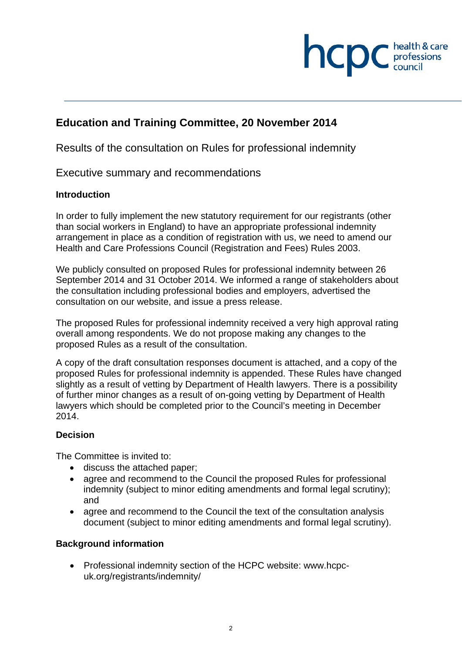# **health & care**

## **Education and Training Committee, 20 November 2014**

Results of the consultation on Rules for professional indemnity

## Executive summary and recommendations

#### **Introduction**

In order to fully implement the new statutory requirement for our registrants (other than social workers in England) to have an appropriate professional indemnity arrangement in place as a condition of registration with us, we need to amend our Health and Care Professions Council (Registration and Fees) Rules 2003.

We publicly consulted on proposed Rules for professional indemnity between 26 September 2014 and 31 October 2014. We informed a range of stakeholders about the consultation including professional bodies and employers, advertised the consultation on our website, and issue a press release.

The proposed Rules for professional indemnity received a very high approval rating overall among respondents. We do not propose making any changes to the proposed Rules as a result of the consultation.

A copy of the draft consultation responses document is attached, and a copy of the proposed Rules for professional indemnity is appended. These Rules have changed slightly as a result of vetting by Department of Health lawyers. There is a possibility of further minor changes as a result of on-going vetting by Department of Health lawyers which should be completed prior to the Council's meeting in December 2014.

## **Decision**

The Committee is invited to:

- discuss the attached paper;
- agree and recommend to the Council the proposed Rules for professional indemnity (subject to minor editing amendments and formal legal scrutiny): and
- agree and recommend to the Council the text of the consultation analysis document (subject to minor editing amendments and formal legal scrutiny).

#### **Background information**

 Professional indemnity section of the HCPC website: www.hcpcuk.org/registrants/indemnity/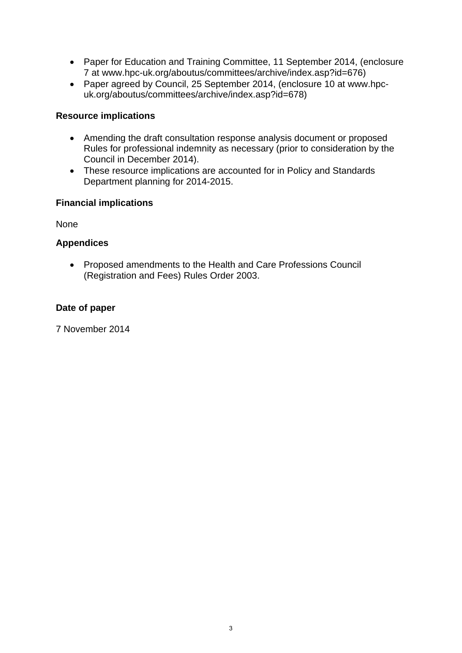- Paper for Education and Training Committee, 11 September 2014, (enclosure 7 at www.hpc-uk.org/aboutus/committees/archive/index.asp?id=676)
- Paper agreed by Council, 25 September 2014, (enclosure 10 at www.hpcuk.org/aboutus/committees/archive/index.asp?id=678)

#### **Resource implications**

- Amending the draft consultation response analysis document or proposed Rules for professional indemnity as necessary (prior to consideration by the Council in December 2014).
- These resource implications are accounted for in Policy and Standards Department planning for 2014-2015.

#### **Financial implications**

None

## **Appendices**

 Proposed amendments to the Health and Care Professions Council (Registration and Fees) Rules Order 2003.

#### **Date of paper**

7 November 2014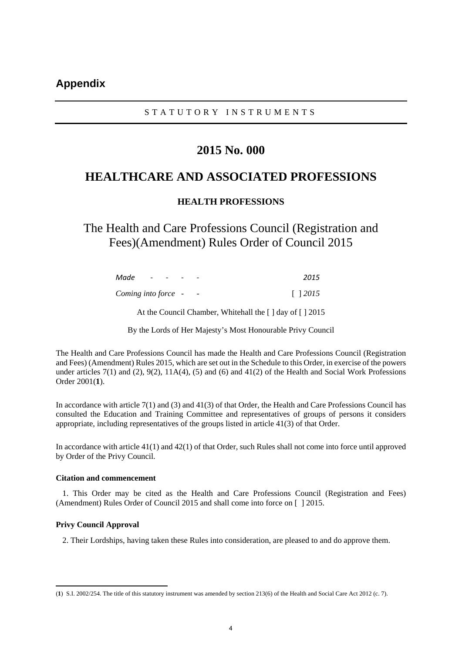#### STATUTORY INSTRUMENTS

## **2015 No. 000**

## **HEALTHCARE AND ASSOCIATED PROFESSIONS**

#### **HEALTH PROFESSIONS**

The Health and Care Professions Council (Registration and Fees)(Amendment) Rules Order of Council 2015

| Made                | $ -$ | $\sim$ | -                        | 2015           |
|---------------------|------|--------|--------------------------|----------------|
| Coming into force - |      |        | $\overline{\phantom{a}}$ | $\lceil$ 12015 |

At the Council Chamber, Whitehall the [ ] day of [ ] 2015

By the Lords of Her Majesty's Most Honourable Privy Council

The Health and Care Professions Council has made the Health and Care Professions Council (Registration and Fees) (Amendment) Rules 2015, which are set out in the Schedule to this Order, in exercise of the powers under articles 7(1) and (2), 9(2), 11A(4), (5) and (6) and 41(2) of the Health and Social Work Professions Order 2001(**1**).

In accordance with article 7(1) and (3) and 41(3) of that Order, the Health and Care Professions Council has consulted the Education and Training Committee and representatives of groups of persons it considers appropriate, including representatives of the groups listed in article 41(3) of that Order.

In accordance with article 41(1) and 42(1) of that Order, such Rules shall not come into force until approved by Order of the Privy Council.

#### **Citation and commencement**

1. This Order may be cited as the Health and Care Professions Council (Registration and Fees) (Amendment) Rules Order of Council 2015 and shall come into force on [ ] 2015.

#### **Privy Council Approval**

2. Their Lordships, having taken these Rules into consideration, are pleased to and do approve them.

 (**1**) S.I. 2002/254. The title of this statutory instrument was amended by section 213(6) of the Health and Social Care Act 2012 (c. 7).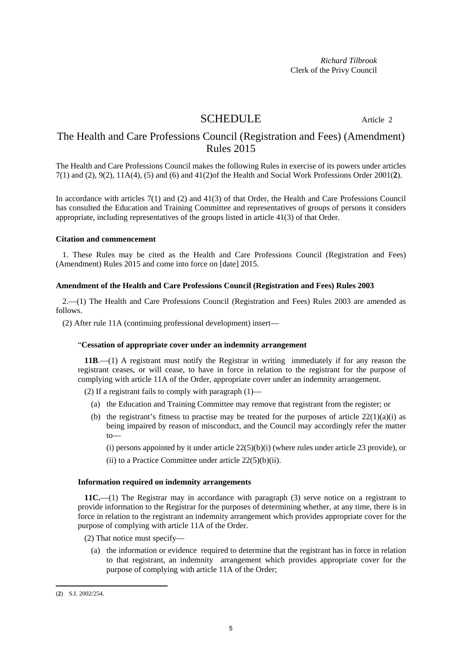*Richard Tilbrook* Clerk of the Privy Council

## SCHEDULE Article 2

## The Health and Care Professions Council (Registration and Fees) (Amendment) Rules 2015

The Health and Care Professions Council makes the following Rules in exercise of its powers under articles 7(1) and (2), 9(2), 11A(4), (5) and (6) and 41(2)of the Health and Social Work Professions Order 2001(**2**).

In accordance with articles 7(1) and (2) and 41(3) of that Order, the Health and Care Professions Council has consulted the Education and Training Committee and representatives of groups of persons it considers appropriate, including representatives of the groups listed in article 41(3) of that Order.

#### **Citation and commencement**

1. These Rules may be cited as the Health and Care Professions Council (Registration and Fees) (Amendment) Rules 2015 and come into force on [date] 2015.

#### **Amendment of the Health and Care Professions Council (Registration and Fees) Rules 2003**

2.—(1) The Health and Care Professions Council (Registration and Fees) Rules 2003 are amended as follows.

(2) After rule 11A (continuing professional development) insert—

#### "**Cessation of appropriate cover under an indemnity arrangement**

**11B**.—(1) A registrant must notify the Registrar in writing immediately if for any reason the registrant ceases, or will cease, to have in force in relation to the registrant for the purpose of complying with article 11A of the Order, appropriate cover under an indemnity arrangement.

(2) If a registrant fails to comply with paragraph  $(1)$ —

- (a) the Education and Training Committee may remove that registrant from the register; or
- (b) the registrant's fitness to practise may be treated for the purposes of article  $22(1)(a)(i)$  as being impaired by reason of misconduct, and the Council may accordingly refer the matter  $to$ —

(i) persons appointed by it under article  $22(5)(b)(i)$  (where rules under article 23 provide), or

(ii) to a Practice Committee under article  $22(5)(b)(ii)$ .

#### **Information required on indemnity arrangements**

**11C.**—(1) The Registrar may in accordance with paragraph (3) serve notice on a registrant to provide information to the Registrar for the purposes of determining whether, at any time, there is in force in relation to the registrant an indemnity arrangement which provides appropriate cover for the purpose of complying with article 11A of the Order.

- (2) That notice must specify—
	- (a) the information or evidence required to determine that the registrant has in force in relation to that registrant, an indemnity arrangement which provides appropriate cover for the purpose of complying with article 11A of the Order;

 (**2**) S.I. 2002/254.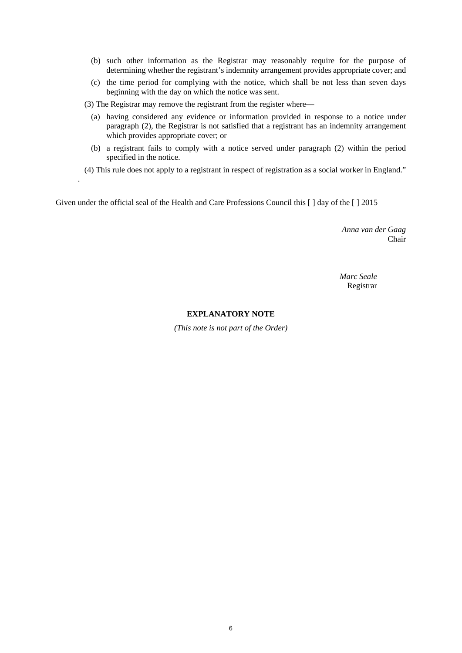- (b) such other information as the Registrar may reasonably require for the purpose of determining whether the registrant's indemnity arrangement provides appropriate cover; and
- (c) the time period for complying with the notice, which shall be not less than seven days beginning with the day on which the notice was sent.

(3) The Registrar may remove the registrant from the register where—

.

- (a) having considered any evidence or information provided in response to a notice under paragraph (2), the Registrar is not satisfied that a registrant has an indemnity arrangement which provides appropriate cover; or
- (b) a registrant fails to comply with a notice served under paragraph (2) within the period specified in the notice.
- (4) This rule does not apply to a registrant in respect of registration as a social worker in England."

Given under the official seal of the Health and Care Professions Council this [ ] day of the [ ] 2015

*Anna van der Gaag* Chair

*Marc Seale* Registrar

#### **EXPLANATORY NOTE**

*(This note is not part of the Order)*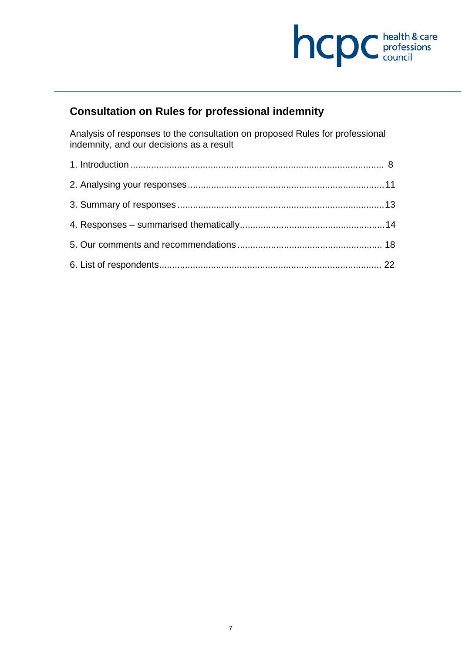

# **Consultation on Rules for professional indemnity**

Analysis of responses to the consultation on proposed Rules for professional indemnity, and our decisions as a result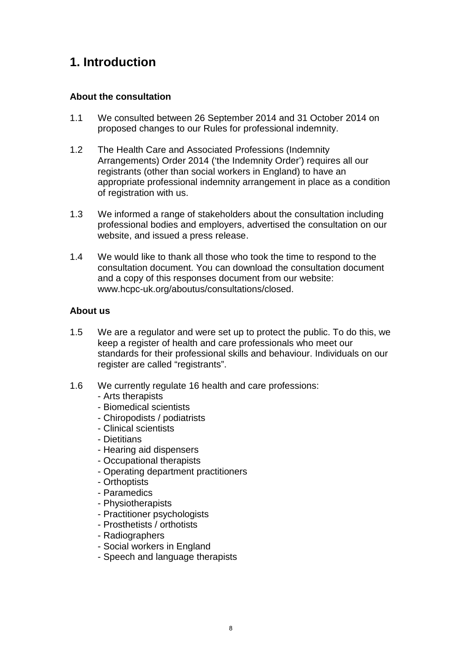# **1. Introduction**

#### **About the consultation**

- 1.1 We consulted between 26 September 2014 and 31 October 2014 on proposed changes to our Rules for professional indemnity.
- 1.2 The Health Care and Associated Professions (Indemnity Arrangements) Order 2014 ('the Indemnity Order') requires all our registrants (other than social workers in England) to have an appropriate professional indemnity arrangement in place as a condition of registration with us.
- 1.3 We informed a range of stakeholders about the consultation including professional bodies and employers, advertised the consultation on our website, and issued a press release.
- 1.4 We would like to thank all those who took the time to respond to the consultation document. You can download the consultation document and a copy of this responses document from our website: www.hcpc-uk.org/aboutus/consultations/closed.

#### **About us**

- 1.5 We are a regulator and were set up to protect the public. To do this, we keep a register of health and care professionals who meet our standards for their professional skills and behaviour. Individuals on our register are called "registrants".
- 1.6 We currently regulate 16 health and care professions:
	- Arts therapists
	- Biomedical scientists
	- Chiropodists / podiatrists
	- Clinical scientists
	- Dietitians
	- Hearing aid dispensers
	- Occupational therapists
	- Operating department practitioners
	- Orthoptists
	- Paramedics
	- Physiotherapists
	- Practitioner psychologists
	- Prosthetists / orthotists
	- Radiographers
	- Social workers in England
	- Speech and language therapists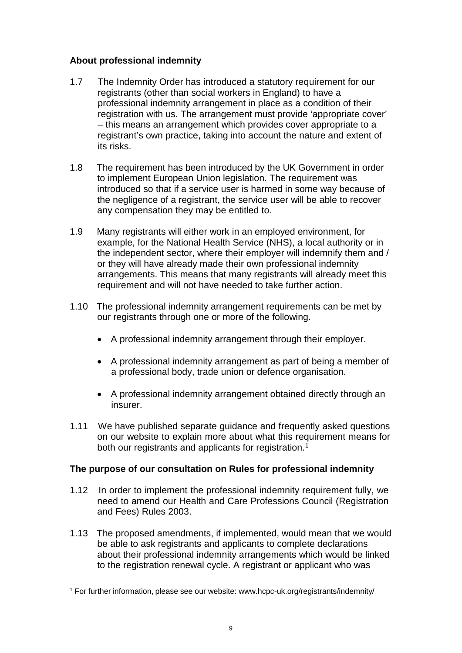#### **About professional indemnity**

- 1.7 The Indemnity Order has introduced a statutory requirement for our registrants (other than social workers in England) to have a professional indemnity arrangement in place as a condition of their registration with us. The arrangement must provide 'appropriate cover' – this means an arrangement which provides cover appropriate to a registrant's own practice, taking into account the nature and extent of its risks.
- 1.8 The requirement has been introduced by the UK Government in order to implement European Union legislation. The requirement was introduced so that if a service user is harmed in some way because of the negligence of a registrant, the service user will be able to recover any compensation they may be entitled to.
- 1.9 Many registrants will either work in an employed environment, for example, for the National Health Service (NHS), a local authority or in the independent sector, where their employer will indemnify them and / or they will have already made their own professional indemnity arrangements. This means that many registrants will already meet this requirement and will not have needed to take further action.
- 1.10 The professional indemnity arrangement requirements can be met by our registrants through one or more of the following.
	- A professional indemnity arrangement through their employer.
	- A professional indemnity arrangement as part of being a member of a professional body, trade union or defence organisation.
	- A professional indemnity arrangement obtained directly through an insurer.
- 1.11 We have published separate guidance and frequently asked questions on our website to explain more about what this requirement means for both our registrants and applicants for registration.<sup>1</sup>

#### **The purpose of our consultation on Rules for professional indemnity**

- 1.12 In order to implement the professional indemnity requirement fully, we need to amend our Health and Care Professions Council (Registration and Fees) Rules 2003.
- 1.13 The proposed amendments, if implemented, would mean that we would be able to ask registrants and applicants to complete declarations about their professional indemnity arrangements which would be linked to the registration renewal cycle. A registrant or applicant who was

<sup>1</sup> For further information, please see our website: www.hcpc-uk.org/registrants/indemnity/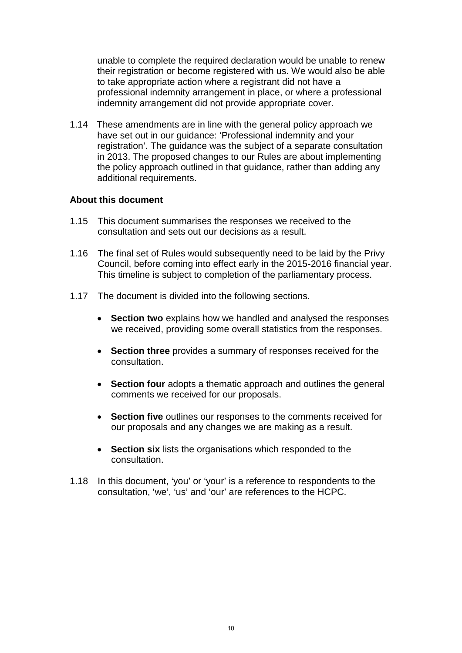unable to complete the required declaration would be unable to renew their registration or become registered with us. We would also be able to take appropriate action where a registrant did not have a professional indemnity arrangement in place, or where a professional indemnity arrangement did not provide appropriate cover.

1.14 These amendments are in line with the general policy approach we have set out in our guidance: 'Professional indemnity and your registration'. The guidance was the subject of a separate consultation in 2013. The proposed changes to our Rules are about implementing the policy approach outlined in that guidance, rather than adding any additional requirements.

#### **About this document**

- 1.15 This document summarises the responses we received to the consultation and sets out our decisions as a result.
- 1.16 The final set of Rules would subsequently need to be laid by the Privy Council, before coming into effect early in the 2015-2016 financial year. This timeline is subject to completion of the parliamentary process.
- 1.17 The document is divided into the following sections.
	- **Section two** explains how we handled and analysed the responses we received, providing some overall statistics from the responses.
	- **Section three** provides a summary of responses received for the consultation.
	- **Section four** adopts a thematic approach and outlines the general comments we received for our proposals.
	- **Section five** outlines our responses to the comments received for our proposals and any changes we are making as a result.
	- **Section six** lists the organisations which responded to the consultation.
- 1.18 In this document, 'you' or 'your' is a reference to respondents to the consultation, 'we', 'us' and 'our' are references to the HCPC.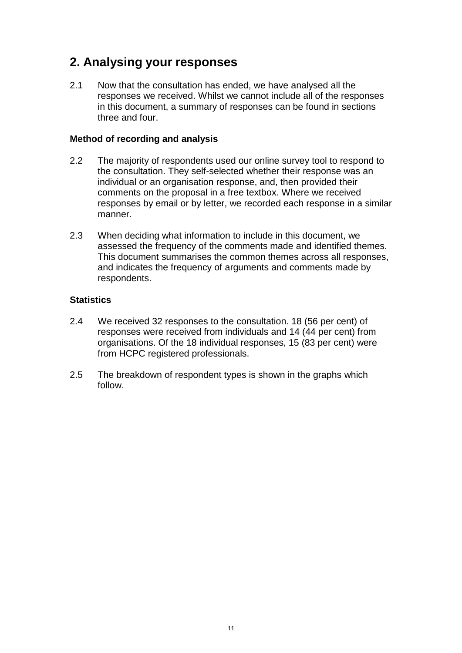# **2. Analysing your responses**

2.1 Now that the consultation has ended, we have analysed all the responses we received. Whilst we cannot include all of the responses in this document, a summary of responses can be found in sections three and four.

#### **Method of recording and analysis**

- 2.2 The majority of respondents used our online survey tool to respond to the consultation. They self-selected whether their response was an individual or an organisation response, and, then provided their comments on the proposal in a free textbox. Where we received responses by email or by letter, we recorded each response in a similar manner.
- 2.3 When deciding what information to include in this document, we assessed the frequency of the comments made and identified themes. This document summarises the common themes across all responses, and indicates the frequency of arguments and comments made by respondents.

#### **Statistics**

- 2.4 We received 32 responses to the consultation. 18 (56 per cent) of responses were received from individuals and 14 (44 per cent) from organisations. Of the 18 individual responses, 15 (83 per cent) were from HCPC registered professionals.
- 2.5 The breakdown of respondent types is shown in the graphs which follow.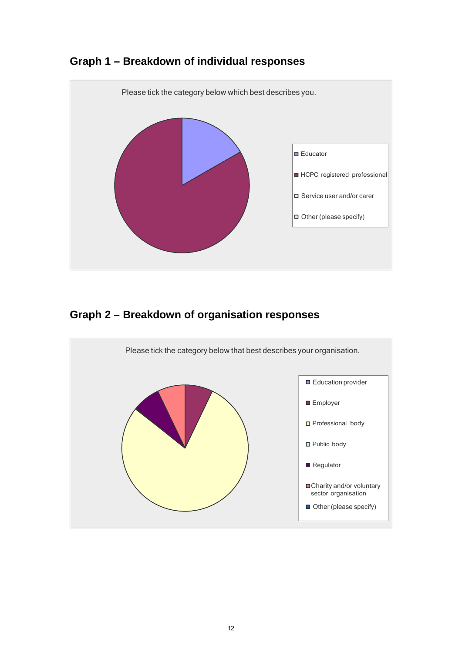

## **Graph 1 – Breakdown of individual responses**

# **Graph 2 – Breakdown of organisation responses**

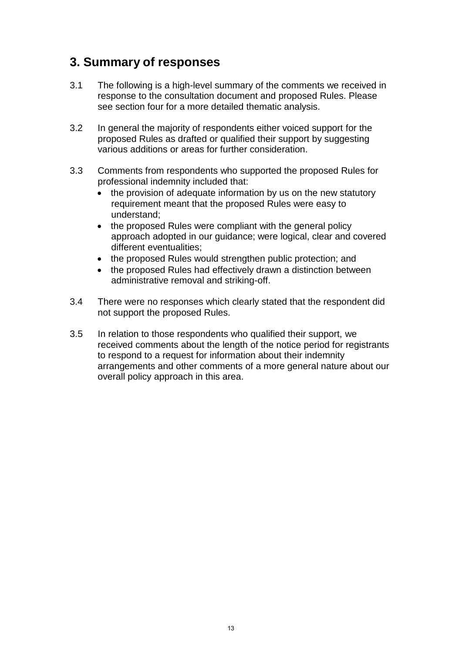# **3. Summary of responses**

- 3.1 The following is a high-level summary of the comments we received in response to the consultation document and proposed Rules. Please see section four for a more detailed thematic analysis.
- 3.2 In general the majority of respondents either voiced support for the proposed Rules as drafted or qualified their support by suggesting various additions or areas for further consideration.
- 3.3 Comments from respondents who supported the proposed Rules for professional indemnity included that:
	- the provision of adequate information by us on the new statutory requirement meant that the proposed Rules were easy to understand;
	- the proposed Rules were compliant with the general policy approach adopted in our guidance; were logical, clear and covered different eventualities;
	- the proposed Rules would strengthen public protection; and
	- the proposed Rules had effectively drawn a distinction between administrative removal and striking-off.
- 3.4 There were no responses which clearly stated that the respondent did not support the proposed Rules.
- 3.5 In relation to those respondents who qualified their support, we received comments about the length of the notice period for registrants to respond to a request for information about their indemnity arrangements and other comments of a more general nature about our overall policy approach in this area.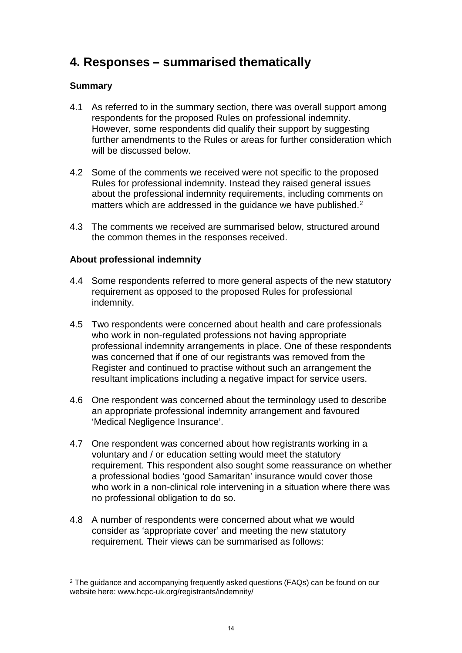# **4. Responses – summarised thematically**

## **Summary**

- 4.1 As referred to in the summary section, there was overall support among respondents for the proposed Rules on professional indemnity. However, some respondents did qualify their support by suggesting further amendments to the Rules or areas for further consideration which will be discussed below.
- 4.2 Some of the comments we received were not specific to the proposed Rules for professional indemnity. Instead they raised general issues about the professional indemnity requirements, including comments on matters which are addressed in the quidance we have published.<sup>2</sup>
- 4.3 The comments we received are summarised below, structured around the common themes in the responses received.

## **About professional indemnity**

- 4.4 Some respondents referred to more general aspects of the new statutory requirement as opposed to the proposed Rules for professional indemnity.
- 4.5 Two respondents were concerned about health and care professionals who work in non-regulated professions not having appropriate professional indemnity arrangements in place. One of these respondents was concerned that if one of our registrants was removed from the Register and continued to practise without such an arrangement the resultant implications including a negative impact for service users.
- 4.6 One respondent was concerned about the terminology used to describe an appropriate professional indemnity arrangement and favoured 'Medical Negligence Insurance'.
- 4.7 One respondent was concerned about how registrants working in a voluntary and / or education setting would meet the statutory requirement. This respondent also sought some reassurance on whether a professional bodies 'good Samaritan' insurance would cover those who work in a non-clinical role intervening in a situation where there was no professional obligation to do so.
- 4.8 A number of respondents were concerned about what we would consider as 'appropriate cover' and meeting the new statutory requirement. Their views can be summarised as follows:

<sup>&</sup>lt;sup>2</sup> The guidance and accompanying frequently asked questions (FAQs) can be found on our website here: www.hcpc-uk.org/registrants/indemnity/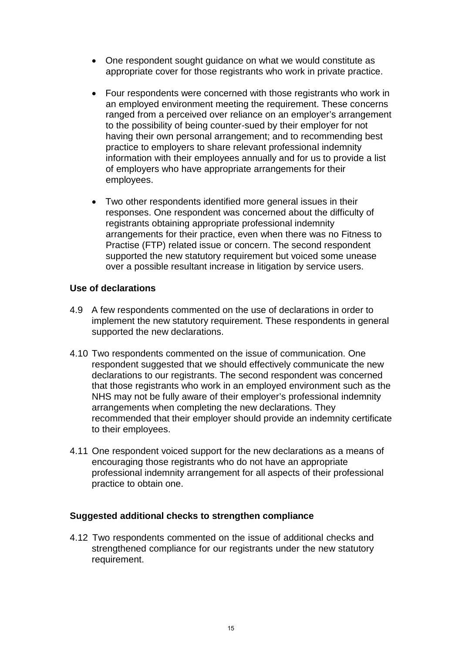- One respondent sought guidance on what we would constitute as appropriate cover for those registrants who work in private practice.
- Four respondents were concerned with those registrants who work in an employed environment meeting the requirement. These concerns ranged from a perceived over reliance on an employer's arrangement to the possibility of being counter-sued by their employer for not having their own personal arrangement; and to recommending best practice to employers to share relevant professional indemnity information with their employees annually and for us to provide a list of employers who have appropriate arrangements for their employees.
- Two other respondents identified more general issues in their responses. One respondent was concerned about the difficulty of registrants obtaining appropriate professional indemnity arrangements for their practice, even when there was no Fitness to Practise (FTP) related issue or concern. The second respondent supported the new statutory requirement but voiced some unease over a possible resultant increase in litigation by service users.

#### **Use of declarations**

- 4.9 A few respondents commented on the use of declarations in order to implement the new statutory requirement. These respondents in general supported the new declarations.
- 4.10 Two respondents commented on the issue of communication. One respondent suggested that we should effectively communicate the new declarations to our registrants. The second respondent was concerned that those registrants who work in an employed environment such as the NHS may not be fully aware of their employer's professional indemnity arrangements when completing the new declarations. They recommended that their employer should provide an indemnity certificate to their employees.
- 4.11 One respondent voiced support for the new declarations as a means of encouraging those registrants who do not have an appropriate professional indemnity arrangement for all aspects of their professional practice to obtain one.

#### **Suggested additional checks to strengthen compliance**

4.12 Two respondents commented on the issue of additional checks and strengthened compliance for our registrants under the new statutory requirement.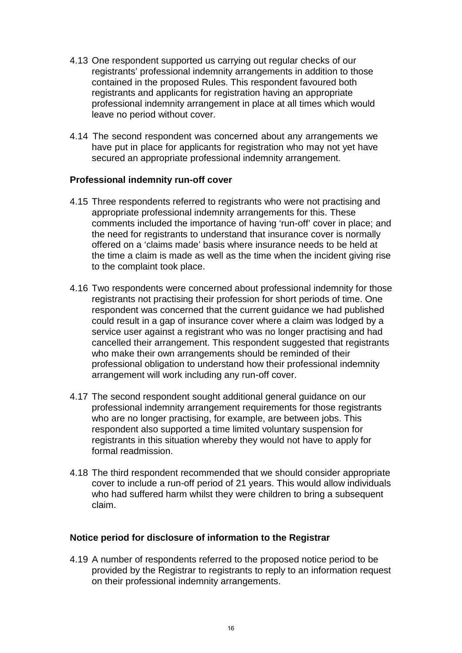- 4.13 One respondent supported us carrying out regular checks of our registrants' professional indemnity arrangements in addition to those contained in the proposed Rules. This respondent favoured both registrants and applicants for registration having an appropriate professional indemnity arrangement in place at all times which would leave no period without cover.
- 4.14 The second respondent was concerned about any arrangements we have put in place for applicants for registration who may not yet have secured an appropriate professional indemnity arrangement.

#### **Professional indemnity run-off cover**

- 4.15 Three respondents referred to registrants who were not practising and appropriate professional indemnity arrangements for this. These comments included the importance of having 'run-off' cover in place; and the need for registrants to understand that insurance cover is normally offered on a 'claims made' basis where insurance needs to be held at the time a claim is made as well as the time when the incident giving rise to the complaint took place.
- 4.16 Two respondents were concerned about professional indemnity for those registrants not practising their profession for short periods of time. One respondent was concerned that the current guidance we had published could result in a gap of insurance cover where a claim was lodged by a service user against a registrant who was no longer practising and had cancelled their arrangement. This respondent suggested that registrants who make their own arrangements should be reminded of their professional obligation to understand how their professional indemnity arrangement will work including any run-off cover.
- 4.17 The second respondent sought additional general guidance on our professional indemnity arrangement requirements for those registrants who are no longer practising, for example, are between jobs. This respondent also supported a time limited voluntary suspension for registrants in this situation whereby they would not have to apply for formal readmission.
- 4.18 The third respondent recommended that we should consider appropriate cover to include a run-off period of 21 years. This would allow individuals who had suffered harm whilst they were children to bring a subsequent claim.

## **Notice period for disclosure of information to the Registrar**

4.19 A number of respondents referred to the proposed notice period to be provided by the Registrar to registrants to reply to an information request on their professional indemnity arrangements.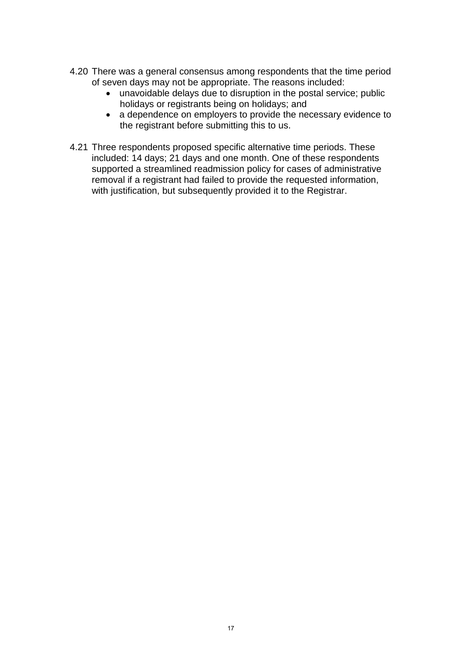- 4.20 There was a general consensus among respondents that the time period of seven days may not be appropriate. The reasons included:
	- unavoidable delays due to disruption in the postal service; public holidays or registrants being on holidays; and
	- a dependence on employers to provide the necessary evidence to the registrant before submitting this to us.
- 4.21 Three respondents proposed specific alternative time periods. These included: 14 days; 21 days and one month. One of these respondents supported a streamlined readmission policy for cases of administrative removal if a registrant had failed to provide the requested information, with justification, but subsequently provided it to the Registrar.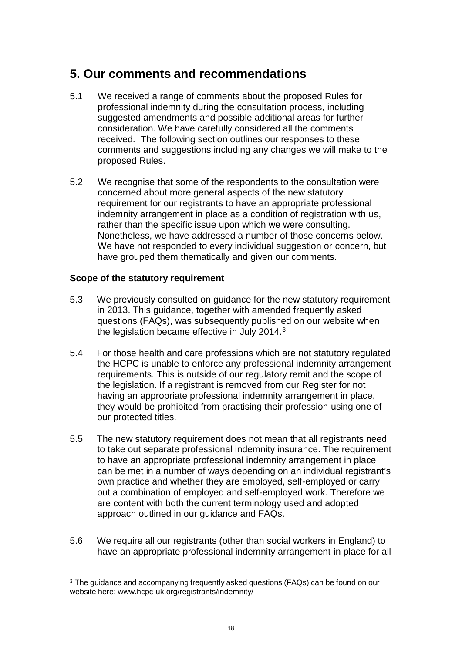## **5. Our comments and recommendations**

- 5.1 We received a range of comments about the proposed Rules for professional indemnity during the consultation process, including suggested amendments and possible additional areas for further consideration. We have carefully considered all the comments received. The following section outlines our responses to these comments and suggestions including any changes we will make to the proposed Rules.
- 5.2 We recognise that some of the respondents to the consultation were concerned about more general aspects of the new statutory requirement for our registrants to have an appropriate professional indemnity arrangement in place as a condition of registration with us, rather than the specific issue upon which we were consulting. Nonetheless, we have addressed a number of those concerns below. We have not responded to every individual suggestion or concern, but have grouped them thematically and given our comments.

#### **Scope of the statutory requirement**

- 5.3 We previously consulted on guidance for the new statutory requirement in 2013. This guidance, together with amended frequently asked questions (FAQs), was subsequently published on our website when the legislation became effective in July 2014.<sup>3</sup>
- 5.4 For those health and care professions which are not statutory regulated the HCPC is unable to enforce any professional indemnity arrangement requirements. This is outside of our regulatory remit and the scope of the legislation. If a registrant is removed from our Register for not having an appropriate professional indemnity arrangement in place, they would be prohibited from practising their profession using one of our protected titles.
- 5.5 The new statutory requirement does not mean that all registrants need to take out separate professional indemnity insurance. The requirement to have an appropriate professional indemnity arrangement in place can be met in a number of ways depending on an individual registrant's own practice and whether they are employed, self-employed or carry out a combination of employed and self-employed work. Therefore we are content with both the current terminology used and adopted approach outlined in our guidance and FAQs.
- 5.6 We require all our registrants (other than social workers in England) to have an appropriate professional indemnity arrangement in place for all

<sup>3</sup> The guidance and accompanying frequently asked questions (FAQs) can be found on our website here: www.hcpc-uk.org/registrants/indemnity/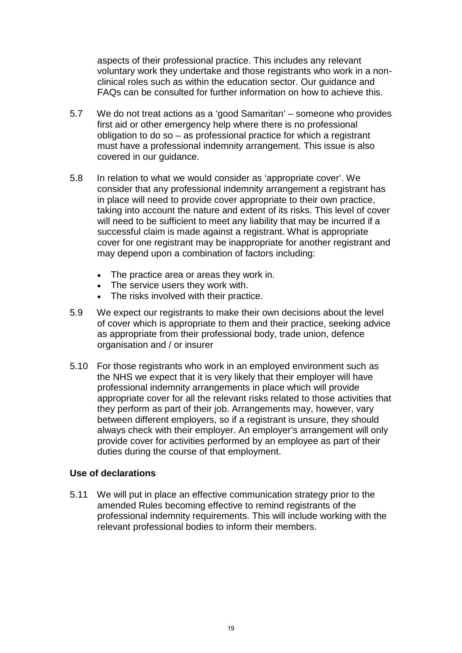aspects of their professional practice. This includes any relevant voluntary work they undertake and those registrants who work in a nonclinical roles such as within the education sector. Our guidance and FAQs can be consulted for further information on how to achieve this.

- 5.7 We do not treat actions as a 'good Samaritan' someone who provides first aid or other emergency help where there is no professional obligation to do so – as professional practice for which a registrant must have a professional indemnity arrangement. This issue is also covered in our guidance.
- 5.8 In relation to what we would consider as 'appropriate cover'. We consider that any professional indemnity arrangement a registrant has in place will need to provide cover appropriate to their own practice, taking into account the nature and extent of its risks. This level of cover will need to be sufficient to meet any liability that may be incurred if a successful claim is made against a registrant. What is appropriate cover for one registrant may be inappropriate for another registrant and may depend upon a combination of factors including:
	- The practice area or areas they work in.
	- The service users they work with.
	- The risks involved with their practice.
- 5.9 We expect our registrants to make their own decisions about the level of cover which is appropriate to them and their practice, seeking advice as appropriate from their professional body, trade union, defence organisation and / or insurer
- 5.10 For those registrants who work in an employed environment such as the NHS we expect that it is very likely that their employer will have professional indemnity arrangements in place which will provide appropriate cover for all the relevant risks related to those activities that they perform as part of their job. Arrangements may, however, vary between different employers, so if a registrant is unsure, they should always check with their employer. An employer's arrangement will only provide cover for activities performed by an employee as part of their duties during the course of that employment.

#### **Use of declarations**

5.11 We will put in place an effective communication strategy prior to the amended Rules becoming effective to remind registrants of the professional indemnity requirements. This will include working with the relevant professional bodies to inform their members.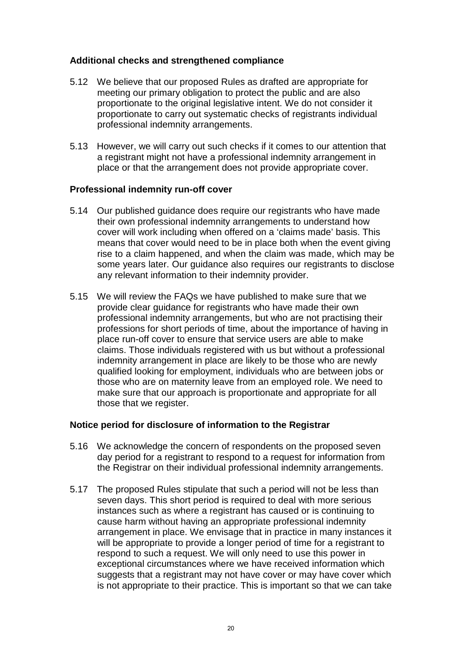#### **Additional checks and strengthened compliance**

- 5.12 We believe that our proposed Rules as drafted are appropriate for meeting our primary obligation to protect the public and are also proportionate to the original legislative intent. We do not consider it proportionate to carry out systematic checks of registrants individual professional indemnity arrangements.
- 5.13 However, we will carry out such checks if it comes to our attention that a registrant might not have a professional indemnity arrangement in place or that the arrangement does not provide appropriate cover.

#### **Professional indemnity run-off cover**

- 5.14 Our published guidance does require our registrants who have made their own professional indemnity arrangements to understand how cover will work including when offered on a 'claims made' basis. This means that cover would need to be in place both when the event giving rise to a claim happened, and when the claim was made, which may be some years later. Our guidance also requires our registrants to disclose any relevant information to their indemnity provider.
- 5.15 We will review the FAQs we have published to make sure that we provide clear guidance for registrants who have made their own professional indemnity arrangements, but who are not practising their professions for short periods of time, about the importance of having in place run-off cover to ensure that service users are able to make claims. Those individuals registered with us but without a professional indemnity arrangement in place are likely to be those who are newly qualified looking for employment, individuals who are between jobs or those who are on maternity leave from an employed role. We need to make sure that our approach is proportionate and appropriate for all those that we register.

#### **Notice period for disclosure of information to the Registrar**

- 5.16 We acknowledge the concern of respondents on the proposed seven day period for a registrant to respond to a request for information from the Registrar on their individual professional indemnity arrangements.
- 5.17 The proposed Rules stipulate that such a period will not be less than seven days. This short period is required to deal with more serious instances such as where a registrant has caused or is continuing to cause harm without having an appropriate professional indemnity arrangement in place. We envisage that in practice in many instances it will be appropriate to provide a longer period of time for a registrant to respond to such a request. We will only need to use this power in exceptional circumstances where we have received information which suggests that a registrant may not have cover or may have cover which is not appropriate to their practice. This is important so that we can take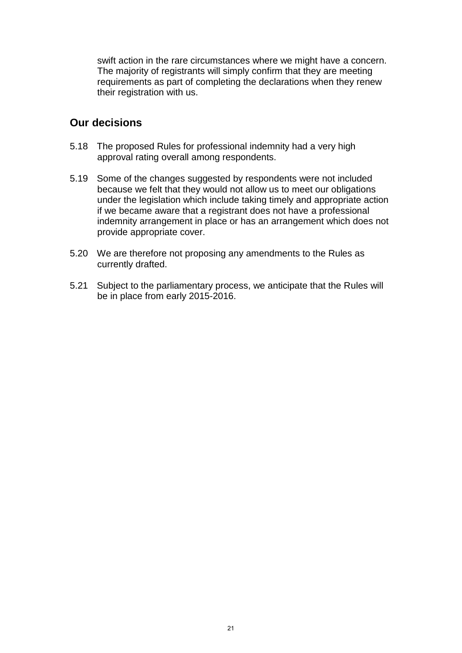swift action in the rare circumstances where we might have a concern. The majority of registrants will simply confirm that they are meeting requirements as part of completing the declarations when they renew their registration with us.

## **Our decisions**

- 5.18 The proposed Rules for professional indemnity had a very high approval rating overall among respondents.
- 5.19 Some of the changes suggested by respondents were not included because we felt that they would not allow us to meet our obligations under the legislation which include taking timely and appropriate action if we became aware that a registrant does not have a professional indemnity arrangement in place or has an arrangement which does not provide appropriate cover.
- 5.20 We are therefore not proposing any amendments to the Rules as currently drafted.
- 5.21 Subject to the parliamentary process, we anticipate that the Rules will be in place from early 2015-2016.